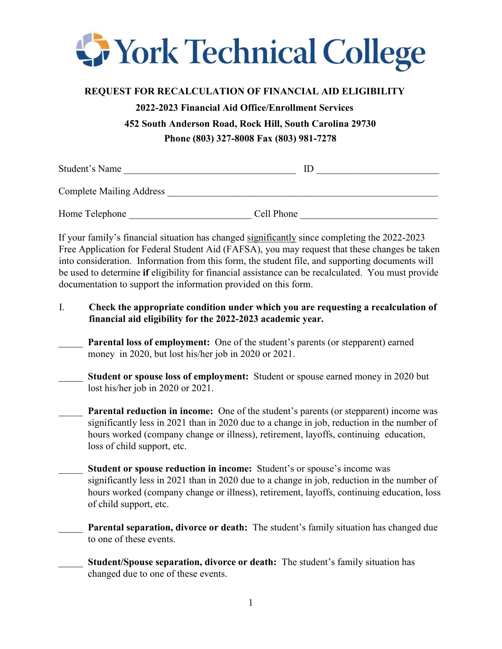

## **REQUEST FOR RECALCULATION OF FINANCIAL AID ELIGIBILITY**

**2022-2023 Financial Aid Office/Enrollment Services 452 South Anderson Road, Rock Hill, South Carolina 29730 Phone (803) 327-8008 Fax (803) 981-7278**

| Student's Name                  | IE         |
|---------------------------------|------------|
| <b>Complete Mailing Address</b> |            |
| Home Telephone                  | Cell Phone |

If your family's financial situation has changed significantly since completing the 2022-2023 Free Application for Federal Student Aid (FAFSA), you may request that these changes be taken into consideration. Information from this form, the student file, and supporting documents will be used to determine **if** eligibility for financial assistance can be recalculated. You must provide documentation to support the information provided on this form.

- I. **Check the appropriate condition under which you are requesting a recalculation of financial aid eligibility for the 2022-2023 academic year.**
- Parental loss of employment: One of the student's parents (or stepparent) earned money in 2020, but lost his/her job in 2020 or 2021.
- Student or spouse loss of employment: Student or spouse earned money in 2020 but lost his/her job in 2020 or 2021.

**Parental reduction in income:** One of the student's parents (or stepparent) income was significantly less in 2021 than in 2020 due to a change in job, reduction in the number of hours worked (company change or illness), retirement, layoffs, continuing education, loss of child support, etc.

- Student or spouse reduction in income: Student's or spouse's income was significantly less in 2021 than in 2020 due to a change in job, reduction in the number of hours worked (company change or illness), retirement, layoffs, continuing education, loss of child support, etc.
- **Parental separation, divorce or death:** The student's family situation has changed due to one of these events.
- \_\_\_\_\_ **Student/Spouse separation, divorce or death:** The student's family situation has changed due to one of these events.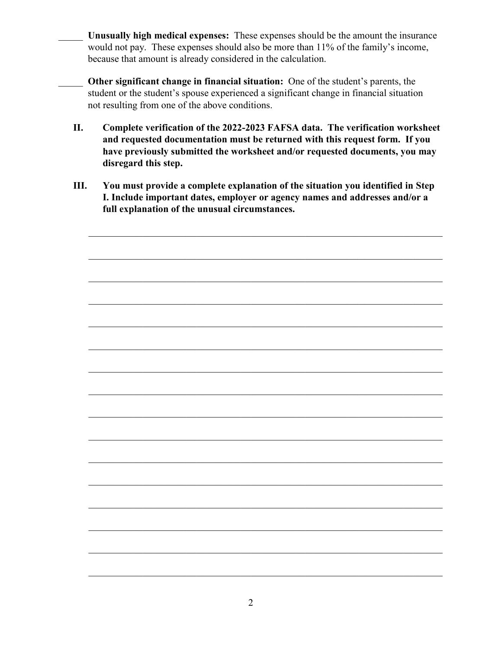- \_\_\_\_\_ **Unusually high medical expenses:** These expenses should be the amount the insurance would not pay. These expenses should also be more than 11% of the family's income, because that amount is already considered in the calculation.
- \_\_\_\_\_ **Other significant change in financial situation:** One of the student's parents, the student or the student's spouse experienced a significant change in financial situation not resulting from one of the above conditions.
- **II. Complete verification of the 2022-2023 FAFSA data. The verification worksheet and requested documentation must be returned with this request form. If you have previously submitted the worksheet and/or requested documents, you may disregard this step.**
- **III. You must provide a complete explanation of the situation you identified in Step I. Include important dates, employer or agency names and addresses and/or a full explanation of the unusual circumstances.**

 $\mathcal{L}_\text{G}$  , and the contribution of the contribution of the contribution of the contribution of the contribution of the contribution of the contribution of the contribution of the contribution of the contribution of t